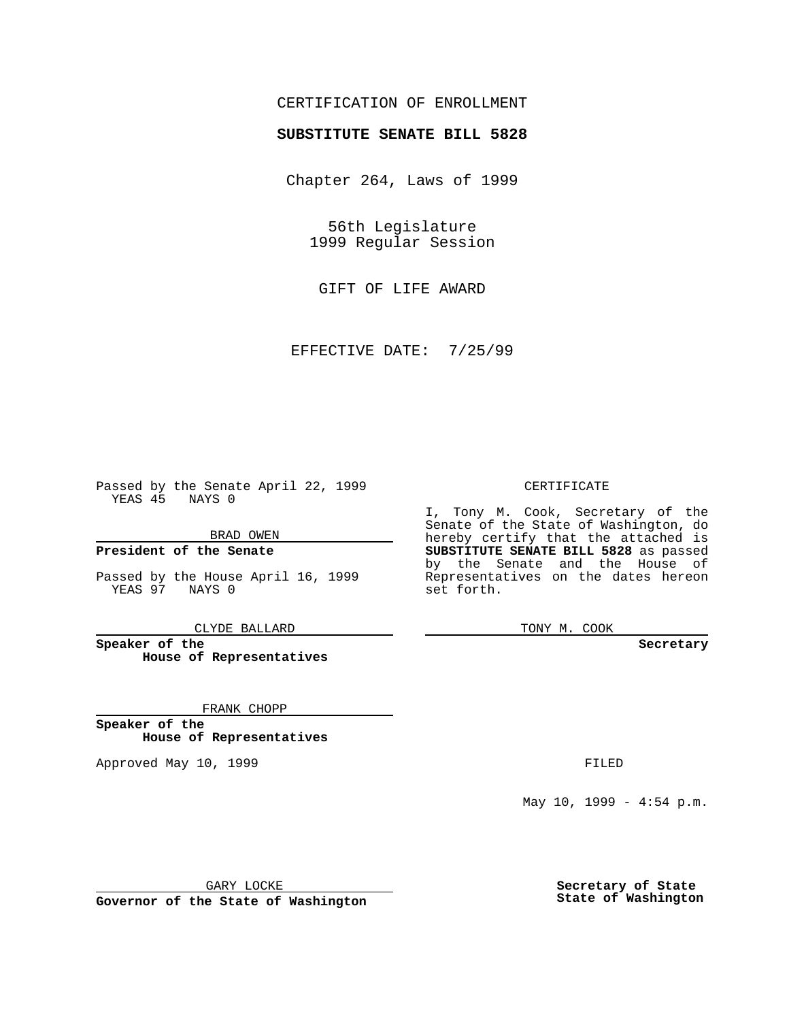## CERTIFICATION OF ENROLLMENT

# **SUBSTITUTE SENATE BILL 5828**

Chapter 264, Laws of 1999

56th Legislature 1999 Regular Session

GIFT OF LIFE AWARD

EFFECTIVE DATE: 7/25/99

Passed by the Senate April 22, 1999 YEAS 45 NAYS 0

BRAD OWEN

**President of the Senate**

Passed by the House April 16, 1999 YEAS 97 NAYS 0

CLYDE BALLARD

**Speaker of the House of Representatives**

FRANK CHOPP

**Speaker of the House of Representatives**

Approved May 10, 1999 **FILED** 

#### CERTIFICATE

I, Tony M. Cook, Secretary of the Senate of the State of Washington, do hereby certify that the attached is **SUBSTITUTE SENATE BILL 5828** as passed by the Senate and the House of Representatives on the dates hereon set forth.

TONY M. COOK

#### **Secretary**

May 10, 1999 - 4:54 p.m.

GARY LOCKE

**Governor of the State of Washington**

**Secretary of State State of Washington**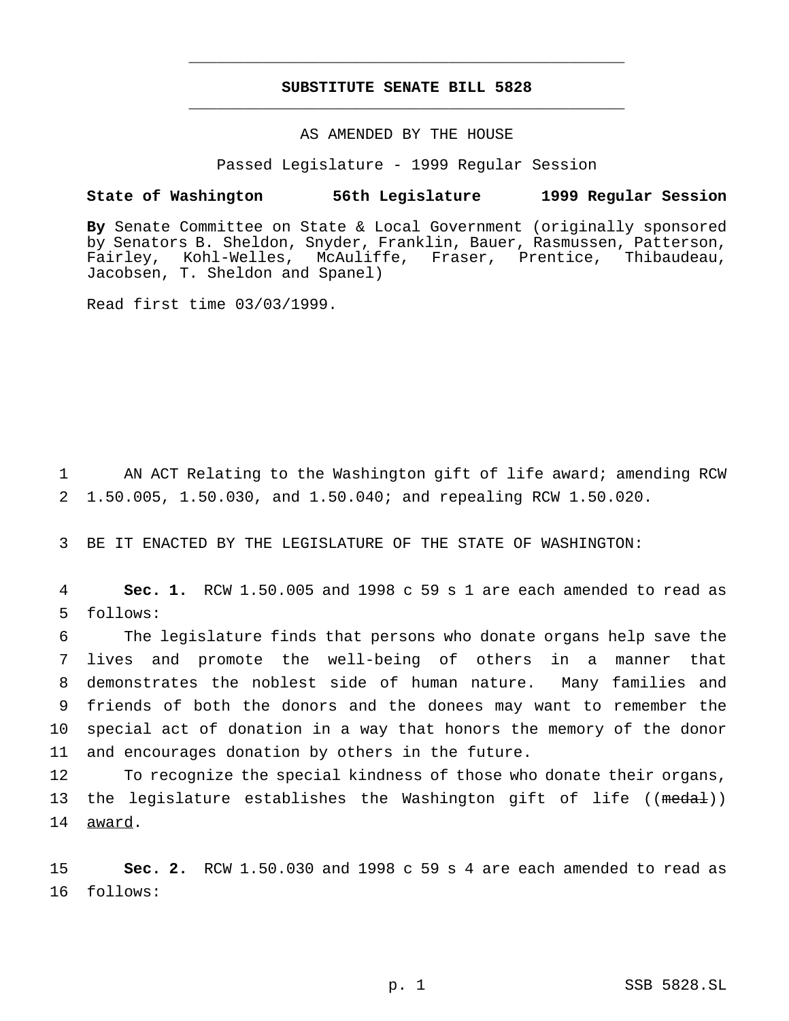## **SUBSTITUTE SENATE BILL 5828** \_\_\_\_\_\_\_\_\_\_\_\_\_\_\_\_\_\_\_\_\_\_\_\_\_\_\_\_\_\_\_\_\_\_\_\_\_\_\_\_\_\_\_\_\_\_\_

\_\_\_\_\_\_\_\_\_\_\_\_\_\_\_\_\_\_\_\_\_\_\_\_\_\_\_\_\_\_\_\_\_\_\_\_\_\_\_\_\_\_\_\_\_\_\_

### AS AMENDED BY THE HOUSE

Passed Legislature - 1999 Regular Session

#### **State of Washington 56th Legislature 1999 Regular Session**

**By** Senate Committee on State & Local Government (originally sponsored by Senators B. Sheldon, Snyder, Franklin, Bauer, Rasmussen, Patterson, Fairley, Kohl-Welles, McAuliffe, Fraser, Prentice, Thibaudeau, Jacobsen, T. Sheldon and Spanel)

Read first time 03/03/1999.

1 AN ACT Relating to the Washington gift of life award; amending RCW 2 1.50.005, 1.50.030, and 1.50.040; and repealing RCW 1.50.020.

3 BE IT ENACTED BY THE LEGISLATURE OF THE STATE OF WASHINGTON:

4 **Sec. 1.** RCW 1.50.005 and 1998 c 59 s 1 are each amended to read as 5 follows:

 The legislature finds that persons who donate organs help save the lives and promote the well-being of others in a manner that demonstrates the noblest side of human nature. Many families and friends of both the donors and the donees may want to remember the special act of donation in a way that honors the memory of the donor and encourages donation by others in the future.

12 To recognize the special kindness of those who donate their organs, 13 the legislature establishes the Washington gift of life ((medal)) 14 award.

15 **Sec. 2.** RCW 1.50.030 and 1998 c 59 s 4 are each amended to read as 16 follows: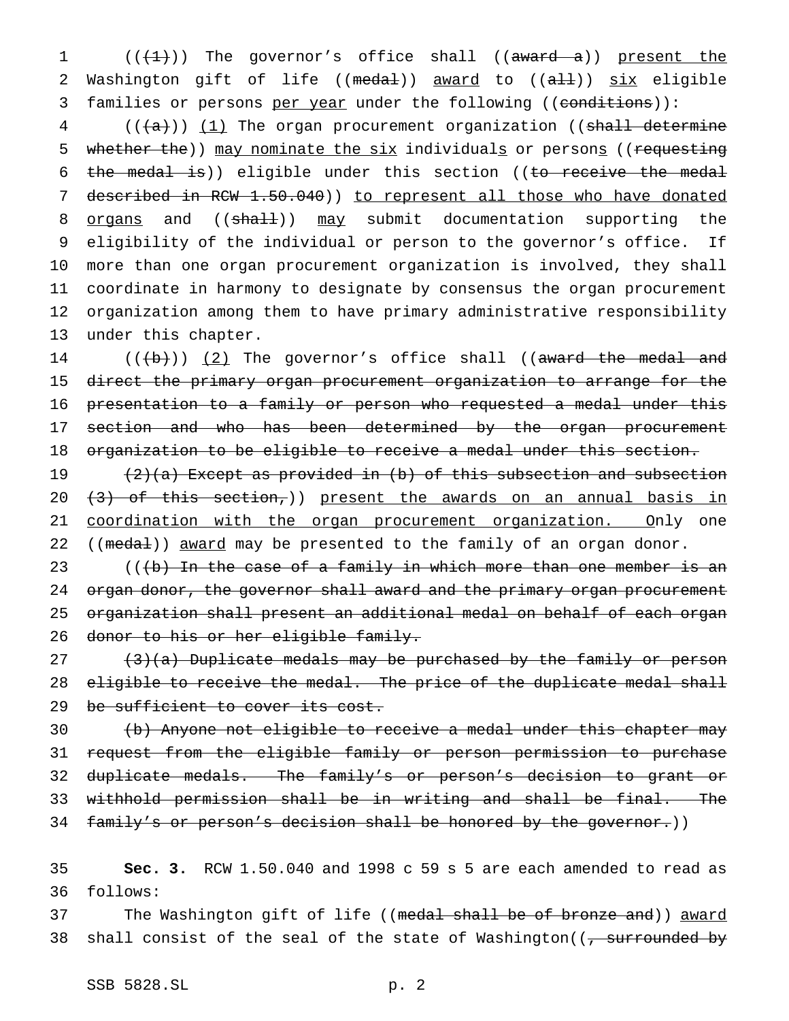1  $((+1))$  The governor's office shall  $((award - a))$  present the 2 Washington gift of life ((medal)) award to ((all)) six eligible 3 families or persons per year under the following ((conditions)):

 $4$  (( $\frac{1}{1}$ ) The organ procurement organization ((shall determine 5 whether the)) may nominate the six individuals or persons ((requesting 6 the medal is)) eligible under this section ((to receive the medal 7 described in RCW 1.50.040)) to represent all those who have donated 8 organs and ((shall)) may submit documentation supporting the 9 eligibility of the individual or person to the governor's office. If 10 more than one organ procurement organization is involved, they shall 11 coordinate in harmony to designate by consensus the organ procurement 12 organization among them to have primary administrative responsibility 13 under this chapter.

 $((+b))$   $(2)$  The governor's office shall ((award the medal and direct the primary organ procurement organization to arrange for the presentation to a family or person who requested a medal under this 17 section and who has been determined by the organ procurement organization to be eligible to receive a medal under this section.

19 (2)(a) Except as provided in (b) of this subsection and subsection 20  $(3)$  of this section,)) present the awards on an annual basis in 21 coordination with the organ procurement organization. Only one 22 ((medal)) award may be presented to the family of an organ donor.

23  $($   $($   $($   $)$   $)$   $)$   $\frac{1}{2}$   $)$   $\frac{1}{2}$   $\frac{1}{2}$   $\frac{1}{2}$   $\frac{1}{2}$   $\frac{1}{2}$   $\frac{1}{2}$   $\frac{1}{2}$   $\frac{1}{2}$   $\frac{1}{2}$   $\frac{1}{2}$   $\frac{1}{2}$   $\frac{1}{2}$   $\frac{1}{2}$   $\frac{1}{2}$   $\frac{1}{2}$   $\frac{1}{2}$   $\frac{1}{2}$   $\frac{1}{2}$  24 organ donor, the governor shall award and the primary organ procurement 25 organization shall present an additional medal on behalf of each organ 26 donor to his or her eligible family.

 $27$   $(3)(a)$  Duplicate medals may be purchased by the family or person 28 eligible to receive the medal. The price of the duplicate medal shall 29 be sufficient to cover its cost.

 (b) Anyone not eligible to receive a medal under this chapter may request from the eligible family or person permission to purchase duplicate medals. The family's or person's decision to grant or withhold permission shall be in writing and shall be final. The 34 family's or person's decision shall be honored by the governor.))

35 **Sec. 3.** RCW 1.50.040 and 1998 c 59 s 5 are each amended to read as 36 follows:

37 The Washington gift of life ((medal shall be of bronze and)) award 38 shall consist of the seal of the state of Washington( $\overline{z}$  surrounded by